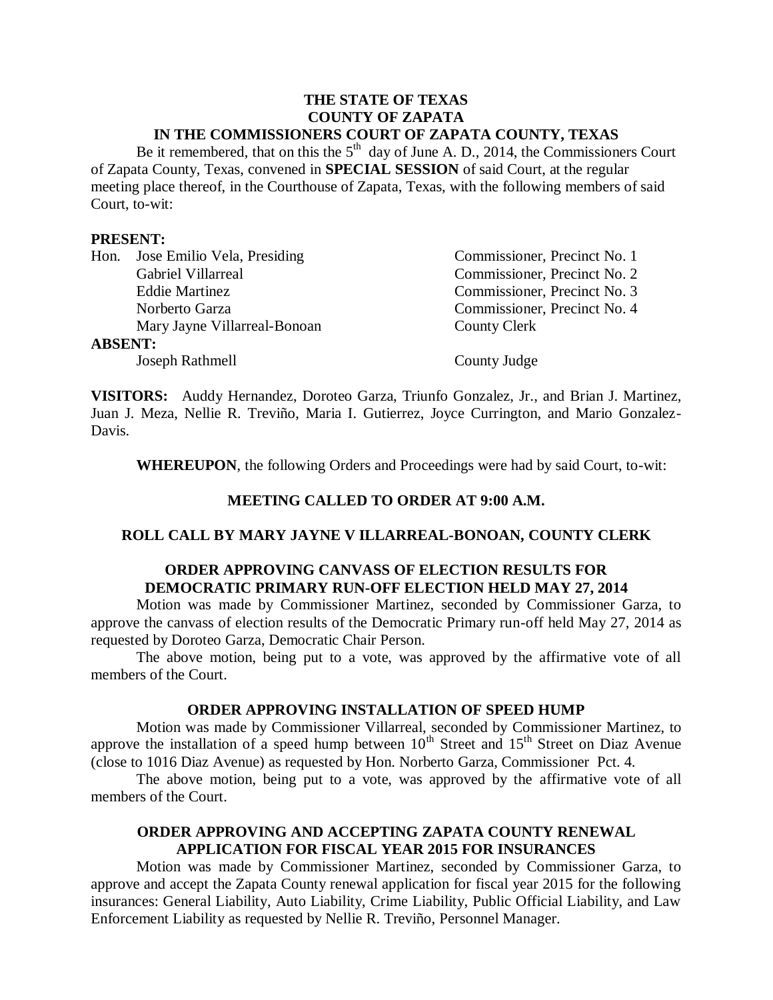### **THE STATE OF TEXAS COUNTY OF ZAPATA IN THE COMMISSIONERS COURT OF ZAPATA COUNTY, TEXAS**

Be it remembered, that on this the  $5<sup>th</sup>$  day of June A. D., 2014, the Commissioners Court of Zapata County, Texas, convened in **SPECIAL SESSION** of said Court, at the regular meeting place thereof, in the Courthouse of Zapata, Texas, with the following members of said Court, to-wit:

### **PRESENT:**

|                | Hon. Jose Emilio Vela, Presiding | Commissioner, Precinct No. 1 |
|----------------|----------------------------------|------------------------------|
|                | Gabriel Villarreal               | Commissioner, Precinct No. 2 |
|                | <b>Eddie Martinez</b>            | Commissioner, Precinct No. 3 |
|                | Norberto Garza                   | Commissioner, Precinct No. 4 |
|                | Mary Jayne Villarreal-Bonoan     | County Clerk                 |
| <b>ABSENT:</b> |                                  |                              |
|                | Joseph Rathmell                  | County Judge                 |

**VISITORS:** Auddy Hernandez, Doroteo Garza, Triunfo Gonzalez, Jr., and Brian J. Martinez, Juan J. Meza, Nellie R. Treviño, Maria I. Gutierrez, Joyce Currington, and Mario Gonzalez-Davis.

**WHEREUPON**, the following Orders and Proceedings were had by said Court, to-wit:

# **MEETING CALLED TO ORDER AT 9:00 A.M.**

#### **ROLL CALL BY MARY JAYNE V ILLARREAL-BONOAN, COUNTY CLERK**

# **ORDER APPROVING CANVASS OF ELECTION RESULTS FOR DEMOCRATIC PRIMARY RUN-OFF ELECTION HELD MAY 27, 2014**

Motion was made by Commissioner Martinez, seconded by Commissioner Garza, to approve the canvass of election results of the Democratic Primary run-off held May 27, 2014 as requested by Doroteo Garza, Democratic Chair Person.

The above motion, being put to a vote, was approved by the affirmative vote of all members of the Court.

### **ORDER APPROVING INSTALLATION OF SPEED HUMP**

Motion was made by Commissioner Villarreal, seconded by Commissioner Martinez, to approve the installation of a speed hump between  $10^{th}$  Street and  $15^{th}$  Street on Diaz Avenue (close to 1016 Diaz Avenue) as requested by Hon. Norberto Garza, Commissioner Pct. 4.

The above motion, being put to a vote, was approved by the affirmative vote of all members of the Court.

### **ORDER APPROVING AND ACCEPTING ZAPATA COUNTY RENEWAL APPLICATION FOR FISCAL YEAR 2015 FOR INSURANCES**

Motion was made by Commissioner Martinez, seconded by Commissioner Garza, to approve and accept the Zapata County renewal application for fiscal year 2015 for the following insurances: General Liability, Auto Liability, Crime Liability, Public Official Liability, and Law Enforcement Liability as requested by Nellie R. Treviño, Personnel Manager.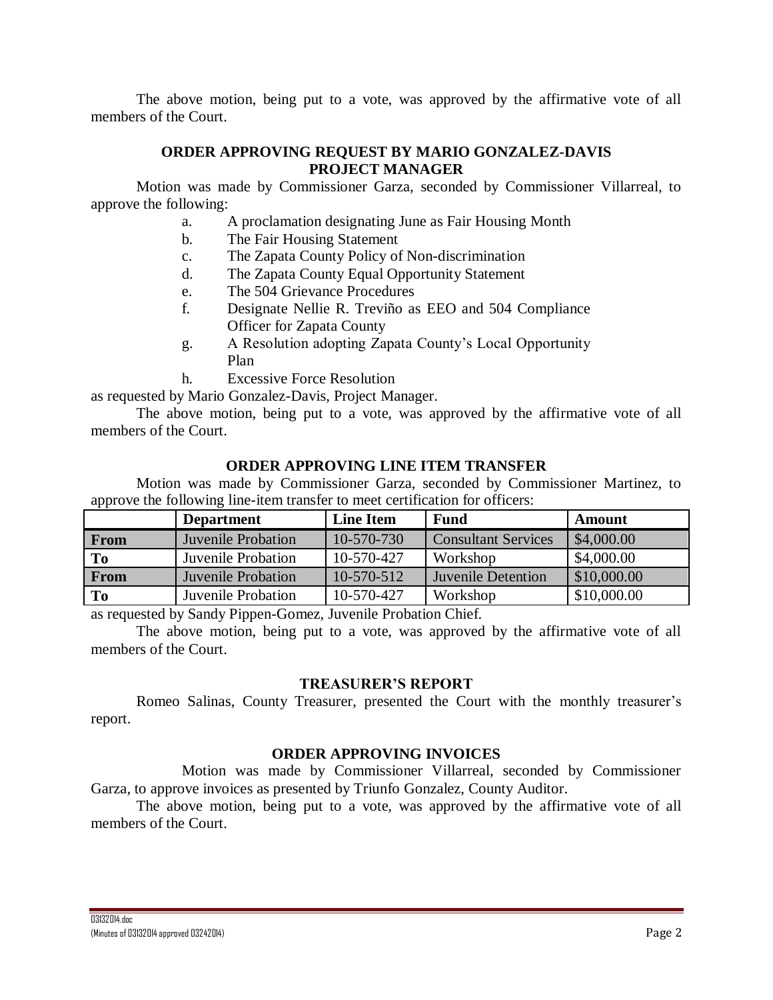The above motion, being put to a vote, was approved by the affirmative vote of all members of the Court.

# **ORDER APPROVING REQUEST BY MARIO GONZALEZ-DAVIS PROJECT MANAGER**

Motion was made by Commissioner Garza, seconded by Commissioner Villarreal, to approve the following:

- a. A proclamation designating June as Fair Housing Month
- b. The Fair Housing Statement
- c. The Zapata County Policy of Non-discrimination
- d. The Zapata County Equal Opportunity Statement
- e. The 504 Grievance Procedures
- f. Designate Nellie R. Treviño as EEO and 504 Compliance Officer for Zapata County
- g. A Resolution adopting Zapata County's Local Opportunity Plan
- h. Excessive Force Resolution

as requested by Mario Gonzalez-Davis, Project Manager.

The above motion, being put to a vote, was approved by the affirmative vote of all members of the Court.

# **ORDER APPROVING LINE ITEM TRANSFER**

Motion was made by Commissioner Garza, seconded by Commissioner Martinez, to approve the following line-item transfer to meet certification for officers:

|      | <b>Department</b>         | <b>Line Item</b> | <b>Fund</b>                | Amount      |
|------|---------------------------|------------------|----------------------------|-------------|
| From | <b>Juvenile Probation</b> | $10-570-730$     | <b>Consultant Services</b> | \$4,000.00  |
| To   | Juvenile Probation        | 10-570-427       | Workshop                   | \$4,000.00  |
| From | <b>Juvenile Probation</b> | 10-570-512       | <b>Juvenile Detention</b>  | \$10,000.00 |
| To   | Juvenile Probation        | 10-570-427       | Workshop                   | \$10,000.00 |

as requested by Sandy Pippen-Gomez, Juvenile Probation Chief.

The above motion, being put to a vote, was approved by the affirmative vote of all members of the Court.

# **TREASURER'S REPORT**

Romeo Salinas, County Treasurer, presented the Court with the monthly treasurer's report.

# **ORDER APPROVING INVOICES**

Motion was made by Commissioner Villarreal, seconded by Commissioner Garza, to approve invoices as presented by Triunfo Gonzalez, County Auditor.

The above motion, being put to a vote, was approved by the affirmative vote of all members of the Court.